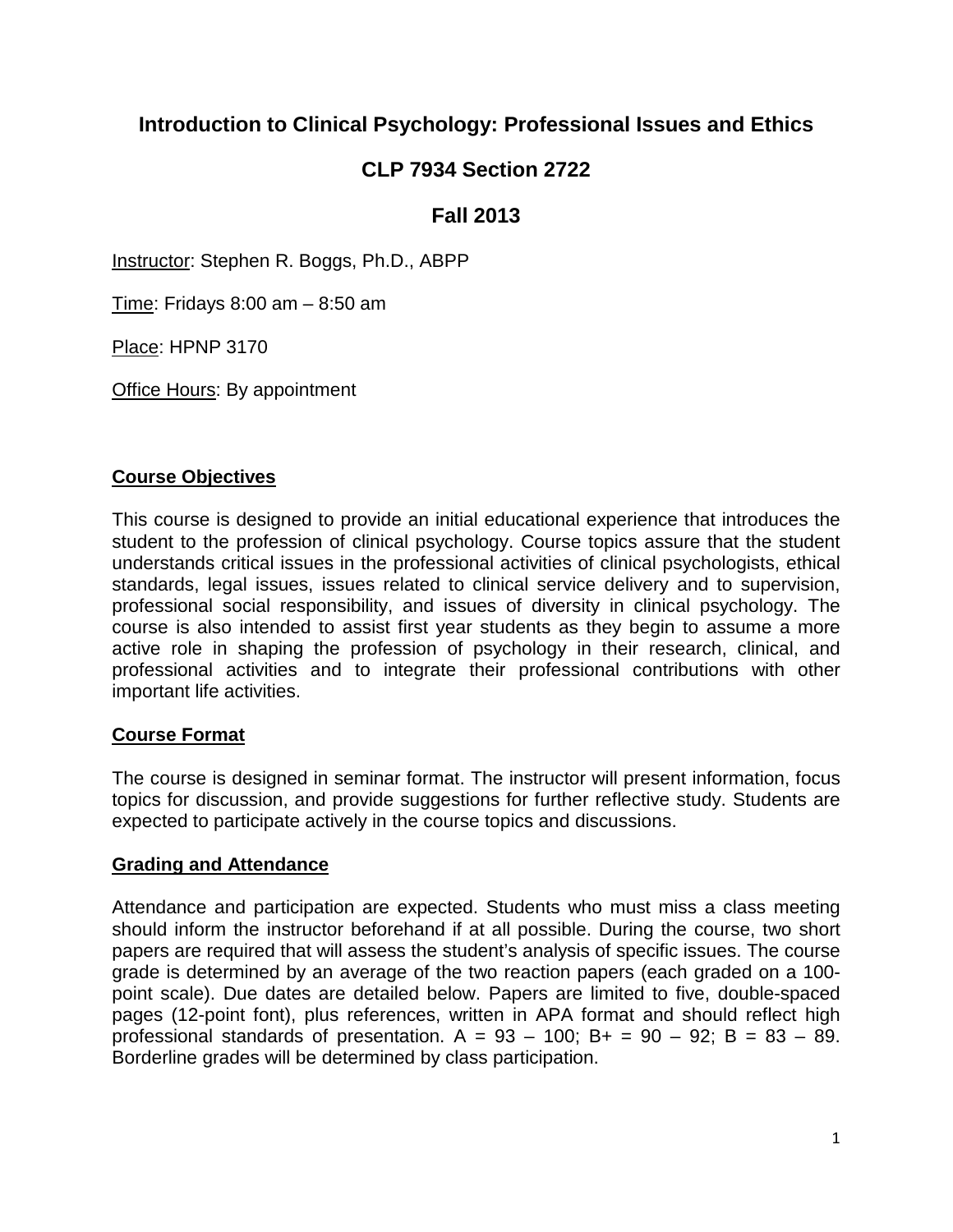# **Introduction to Clinical Psychology: Professional Issues and Ethics**

# **CLP 7934 Section 2722**

# **Fall 2013**

Instructor: Stephen R. Boggs, Ph.D., ABPP

Time: Fridays 8:00 am – 8:50 am

Place: HPNP 3170

**Office Hours: By appointment** 

#### **Course Objectives**

This course is designed to provide an initial educational experience that introduces the student to the profession of clinical psychology. Course topics assure that the student understands critical issues in the professional activities of clinical psychologists, ethical standards, legal issues, issues related to clinical service delivery and to supervision, professional social responsibility, and issues of diversity in clinical psychology. The course is also intended to assist first year students as they begin to assume a more active role in shaping the profession of psychology in their research, clinical, and professional activities and to integrate their professional contributions with other important life activities.

# **Course Format**

The course is designed in seminar format. The instructor will present information, focus topics for discussion, and provide suggestions for further reflective study. Students are expected to participate actively in the course topics and discussions.

# **Grading and Attendance**

Attendance and participation are expected. Students who must miss a class meeting should inform the instructor beforehand if at all possible. During the course, two short papers are required that will assess the student's analysis of specific issues. The course grade is determined by an average of the two reaction papers (each graded on a 100 point scale). Due dates are detailed below. Papers are limited to five, double-spaced pages (12-point font), plus references, written in APA format and should reflect high professional standards of presentation.  $A = 93 - 100$ ;  $B + 90 - 92$ ;  $B = 83 - 89$ . Borderline grades will be determined by class participation.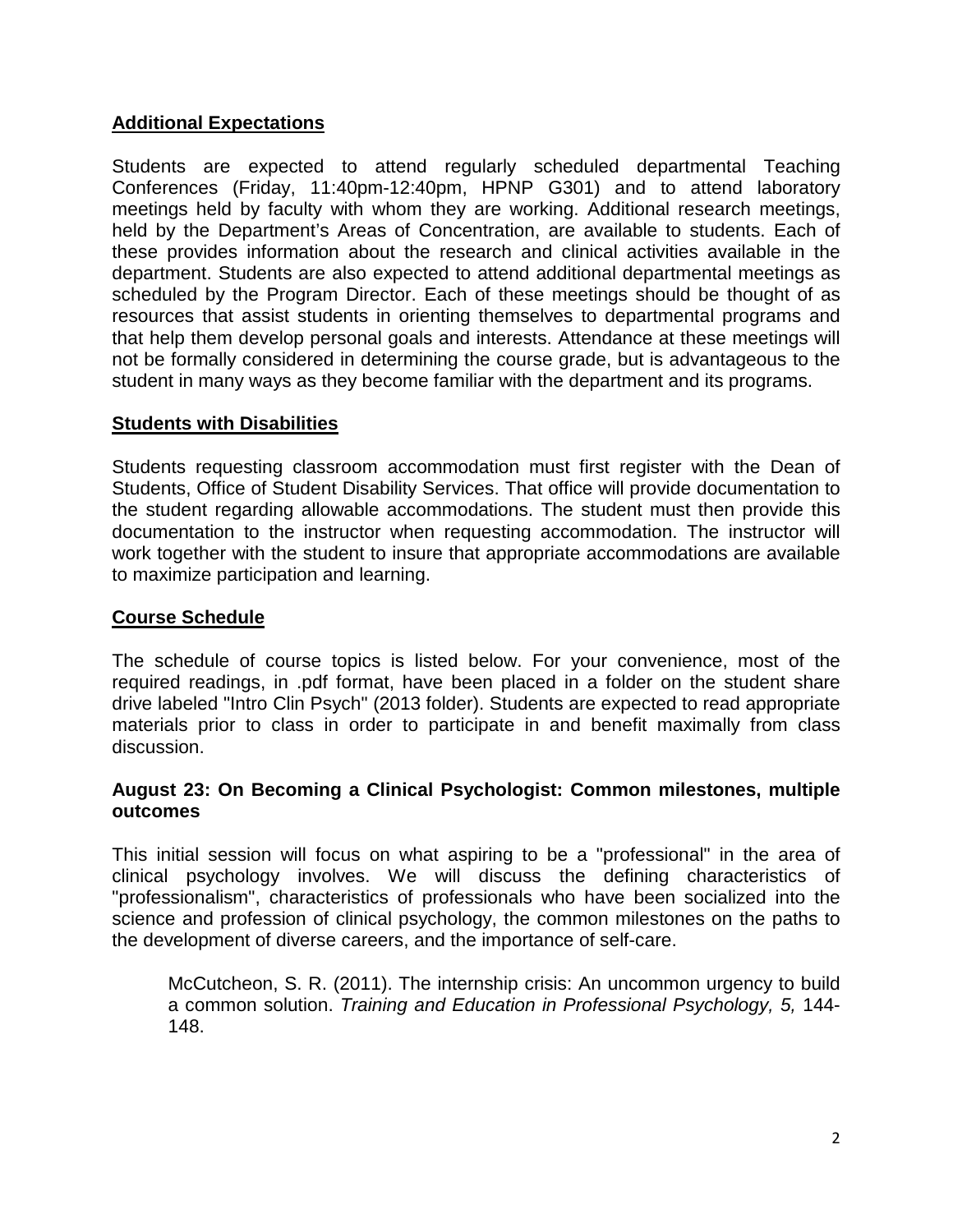# **Additional Expectations**

Students are expected to attend regularly scheduled departmental Teaching Conferences (Friday, 11:40pm-12:40pm, HPNP G301) and to attend laboratory meetings held by faculty with whom they are working. Additional research meetings, held by the Department's Areas of Concentration, are available to students. Each of these provides information about the research and clinical activities available in the department. Students are also expected to attend additional departmental meetings as scheduled by the Program Director. Each of these meetings should be thought of as resources that assist students in orienting themselves to departmental programs and that help them develop personal goals and interests. Attendance at these meetings will not be formally considered in determining the course grade, but is advantageous to the student in many ways as they become familiar with the department and its programs.

# **Students with Disabilities**

Students requesting classroom accommodation must first register with the Dean of Students, Office of Student Disability Services. That office will provide documentation to the student regarding allowable accommodations. The student must then provide this documentation to the instructor when requesting accommodation. The instructor will work together with the student to insure that appropriate accommodations are available to maximize participation and learning.

### **Course Schedule**

The schedule of course topics is listed below. For your convenience, most of the required readings, in .pdf format, have been placed in a folder on the student share drive labeled "Intro Clin Psych" (2013 folder). Students are expected to read appropriate materials prior to class in order to participate in and benefit maximally from class discussion.

#### **August 23: On Becoming a Clinical Psychologist: Common milestones, multiple outcomes**

This initial session will focus on what aspiring to be a "professional" in the area of clinical psychology involves. We will discuss the defining characteristics of "professionalism", characteristics of professionals who have been socialized into the science and profession of clinical psychology, the common milestones on the paths to the development of diverse careers, and the importance of self-care.

McCutcheon, S. R. (2011). The internship crisis: An uncommon urgency to build a common solution. *Training and Education in Professional Psychology, 5,* 144- 148.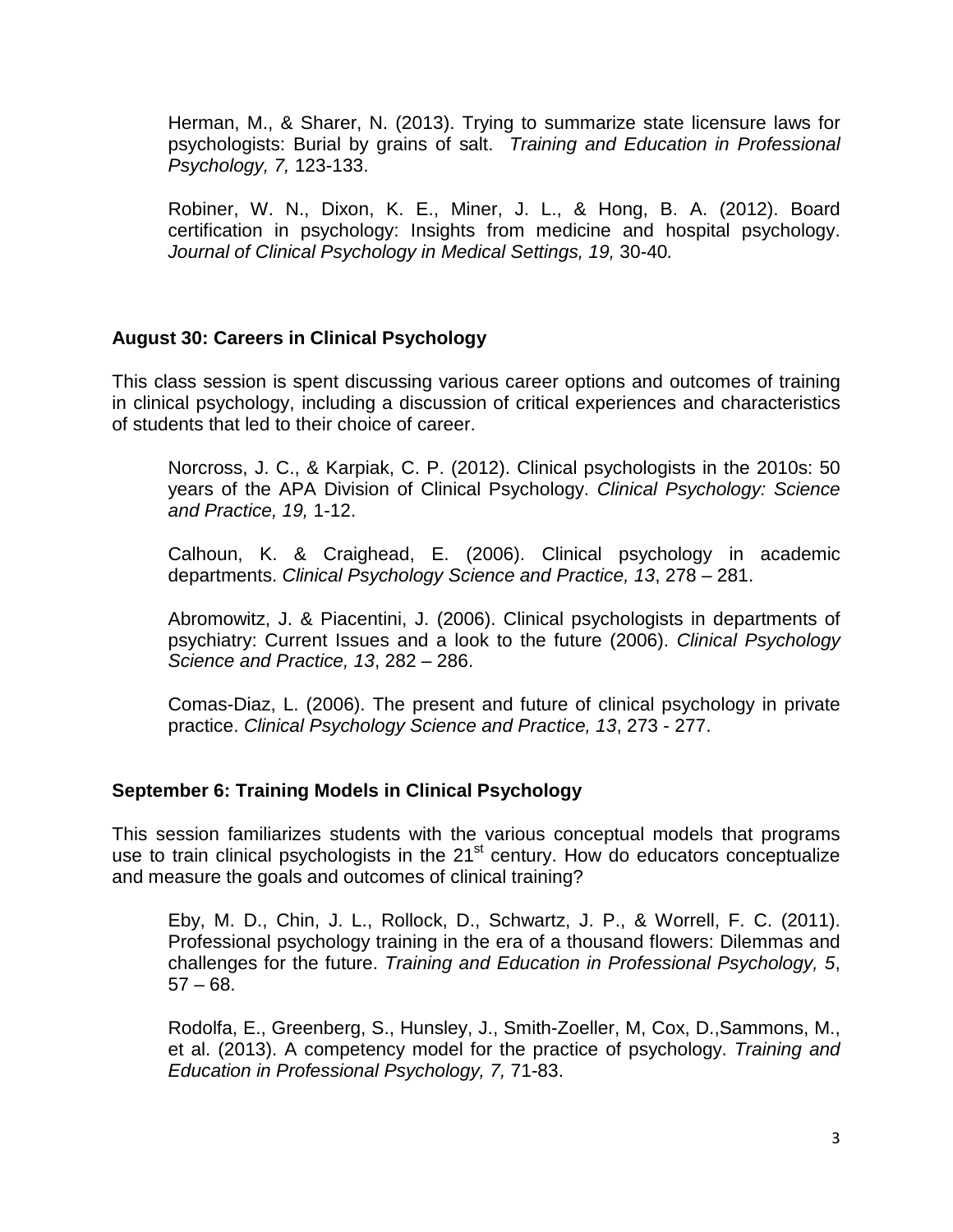Herman, M., & Sharer, N. (2013). Trying to summarize state licensure laws for psychologists: Burial by grains of salt. *Training and Education in Professional Psychology, 7,* 123-133.

Robiner, W. N., Dixon, K. E., Miner, J. L., & Hong, B. A. (2012). Board certification in psychology: Insights from medicine and hospital psychology. *Journal of Clinical Psychology in Medical Settings, 19,* 30-40*.*

# **August 30: Careers in Clinical Psychology**

This class session is spent discussing various career options and outcomes of training in clinical psychology, including a discussion of critical experiences and characteristics of students that led to their choice of career.

Norcross, J. C., & Karpiak, C. P. (2012). Clinical psychologists in the 2010s: 50 years of the APA Division of Clinical Psychology. *Clinical Psychology: Science and Practice, 19,* 1-12.

Calhoun, K. & Craighead, E. (2006). Clinical psychology in academic departments. *Clinical Psychology Science and Practice, 13*, 278 – 281.

Abromowitz, J. & Piacentini, J. (2006). Clinical psychologists in departments of psychiatry: Current Issues and a look to the future (2006). *Clinical Psychology Science and Practice, 13*, 282 – 286.

Comas-Diaz, L. (2006). The present and future of clinical psychology in private practice. *Clinical Psychology Science and Practice, 13*, 273 - 277.

# **September 6: Training Models in Clinical Psychology**

This session familiarizes students with the various conceptual models that programs use to train clinical psychologists in the  $21<sup>st</sup>$  century. How do educators conceptualize and measure the goals and outcomes of clinical training?

Eby, M. D., Chin, J. L., Rollock, D., Schwartz, J. P., & Worrell, F. C. (2011). Professional psychology training in the era of a thousand flowers: Dilemmas and challenges for the future. *Training and Education in Professional Psychology, 5*,  $57 - 68.$ 

Rodolfa, E., Greenberg, S., Hunsley, J., Smith-Zoeller, M, Cox, D.,Sammons, M., et al. (2013). A competency model for the practice of psychology. *Training and Education in Professional Psychology, 7,* 71-83.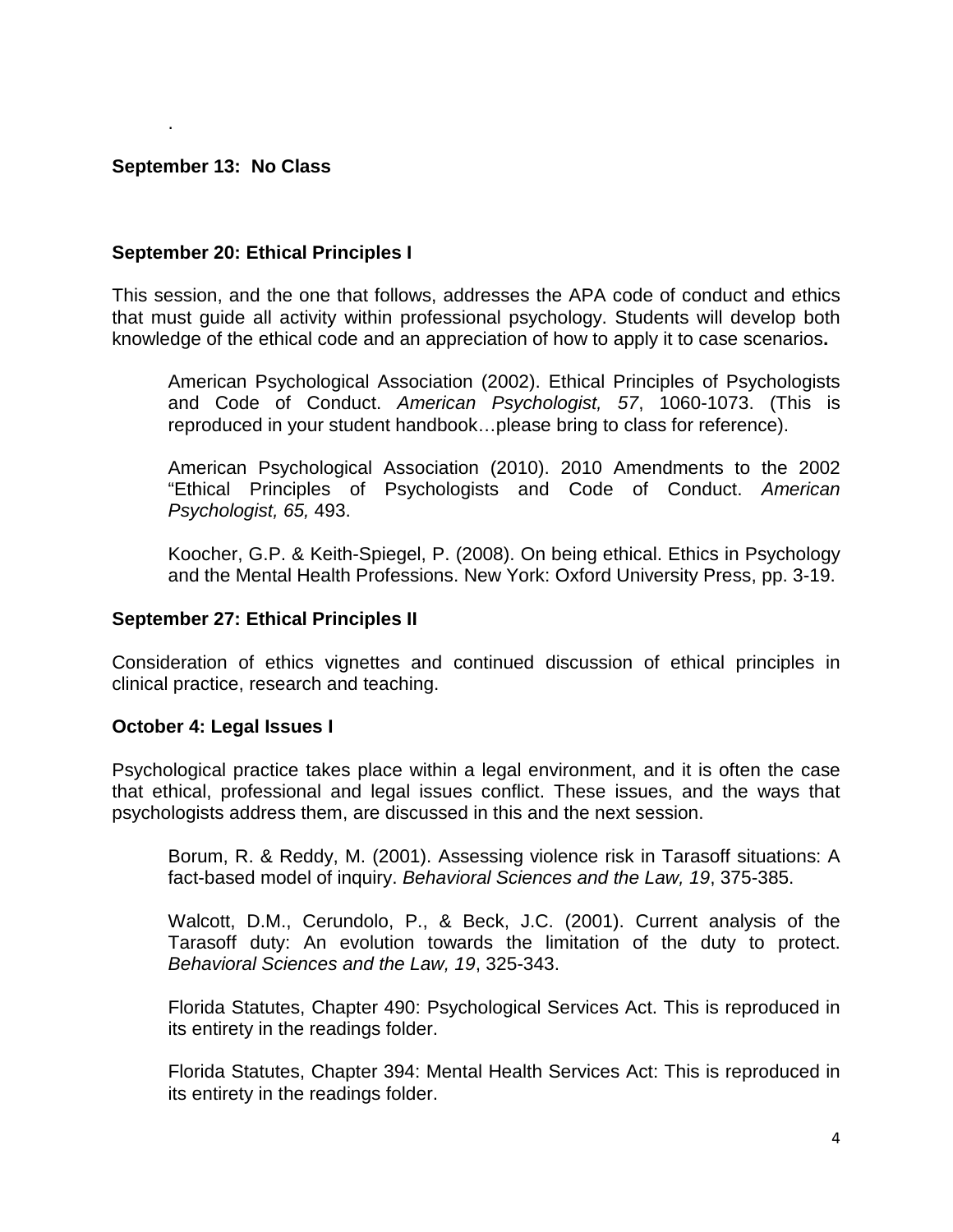#### **September 13: No Class**

.

#### **September 20: Ethical Principles I**

This session, and the one that follows, addresses the APA code of conduct and ethics that must guide all activity within professional psychology. Students will develop both knowledge of the ethical code and an appreciation of how to apply it to case scenarios**.**

American Psychological Association (2002). Ethical Principles of Psychologists and Code of Conduct. *American Psychologist, 57*, 1060-1073. (This is reproduced in your student handbook…please bring to class for reference).

American Psychological Association (2010). 2010 Amendments to the 2002 "Ethical Principles of Psychologists and Code of Conduct. *American Psychologist, 65,* 493.

Koocher, G.P. & Keith-Spiegel, P. (2008). On being ethical. Ethics in Psychology and the Mental Health Professions. New York: Oxford University Press, pp. 3-19.

#### **September 27: Ethical Principles II**

Consideration of ethics vignettes and continued discussion of ethical principles in clinical practice, research and teaching.

#### **October 4: Legal Issues I**

Psychological practice takes place within a legal environment, and it is often the case that ethical, professional and legal issues conflict. These issues, and the ways that psychologists address them, are discussed in this and the next session.

Borum, R. & Reddy, M. (2001). Assessing violence risk in Tarasoff situations: A fact-based model of inquiry. *Behavioral Sciences and the Law, 19*, 375-385.

Walcott, D.M., Cerundolo, P., & Beck, J.C. (2001). Current analysis of the Tarasoff duty: An evolution towards the limitation of the duty to protect. *Behavioral Sciences and the Law, 19*, 325-343.

Florida Statutes, Chapter 490: Psychological Services Act. This is reproduced in its entirety in the readings folder.

Florida Statutes, Chapter 394: Mental Health Services Act: This is reproduced in its entirety in the readings folder.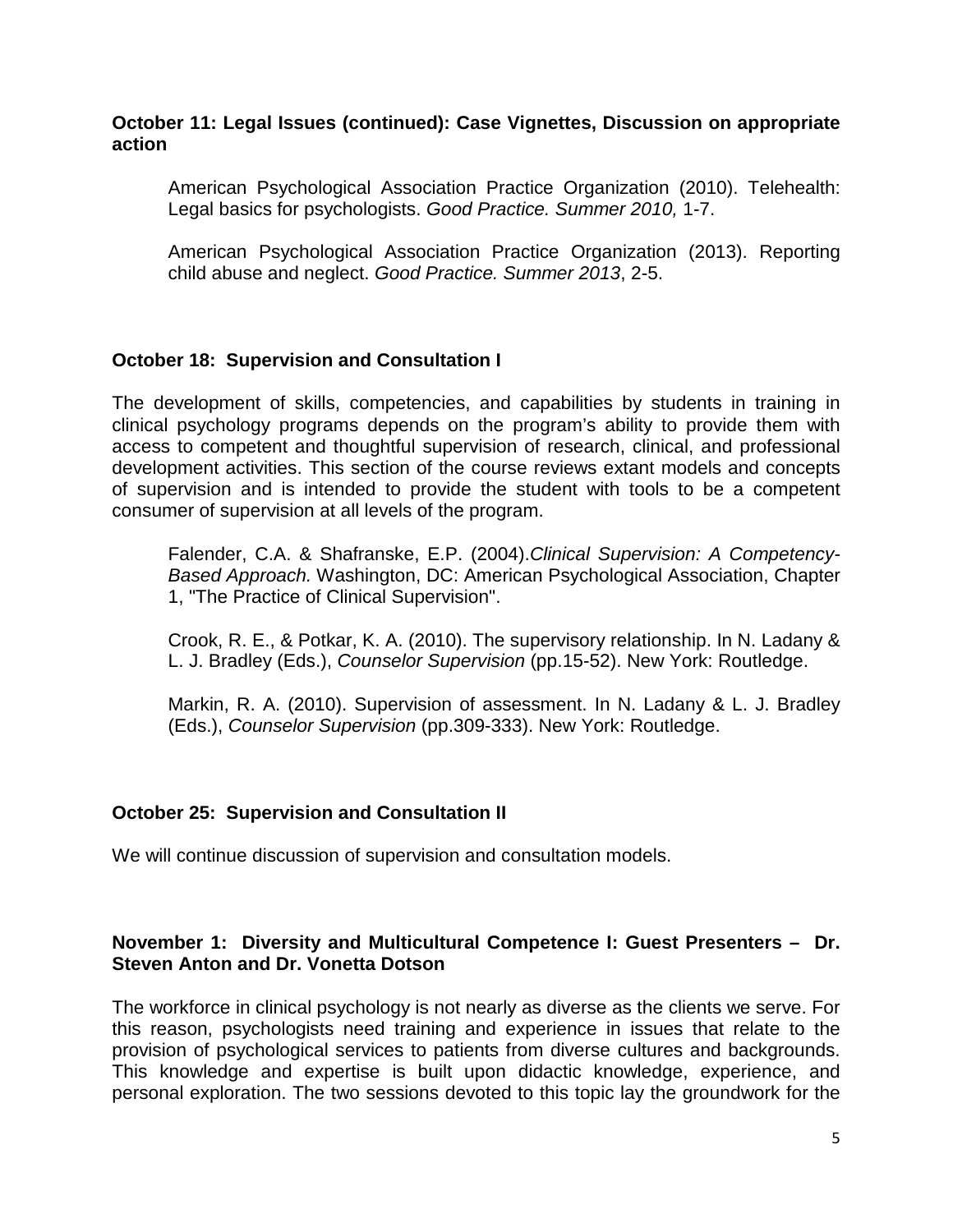#### **October 11: Legal Issues (continued): Case Vignettes, Discussion on appropriate action**

American Psychological Association Practice Organization (2010). Telehealth: Legal basics for psychologists. *Good Practice. Summer 2010,* 1-7.

American Psychological Association Practice Organization (2013). Reporting child abuse and neglect. *Good Practice. Summer 2013*, 2-5.

# **October 18: Supervision and Consultation I**

The development of skills, competencies, and capabilities by students in training in clinical psychology programs depends on the program's ability to provide them with access to competent and thoughtful supervision of research, clinical, and professional development activities. This section of the course reviews extant models and concepts of supervision and is intended to provide the student with tools to be a competent consumer of supervision at all levels of the program.

Falender, C.A. & Shafranske, E.P. (2004).*Clinical Supervision: A Competency-Based Approach.* Washington, DC: American Psychological Association, Chapter 1, "The Practice of Clinical Supervision".

Crook, R. E., & Potkar, K. A. (2010). The supervisory relationship. In N. Ladany & L. J. Bradley (Eds.), *Counselor Supervision* (pp.15-52). New York: Routledge.

Markin, R. A. (2010). Supervision of assessment. In N. Ladany & L. J. Bradley (Eds.), *Counselor Supervision* (pp.309-333). New York: Routledge.

#### **October 25: Supervision and Consultation II**

We will continue discussion of supervision and consultation models.

# **November 1: Diversity and Multicultural Competence I: Guest Presenters – Dr. Steven Anton and Dr. Vonetta Dotson**

The workforce in clinical psychology is not nearly as diverse as the clients we serve. For this reason, psychologists need training and experience in issues that relate to the provision of psychological services to patients from diverse cultures and backgrounds. This knowledge and expertise is built upon didactic knowledge, experience, and personal exploration. The two sessions devoted to this topic lay the groundwork for the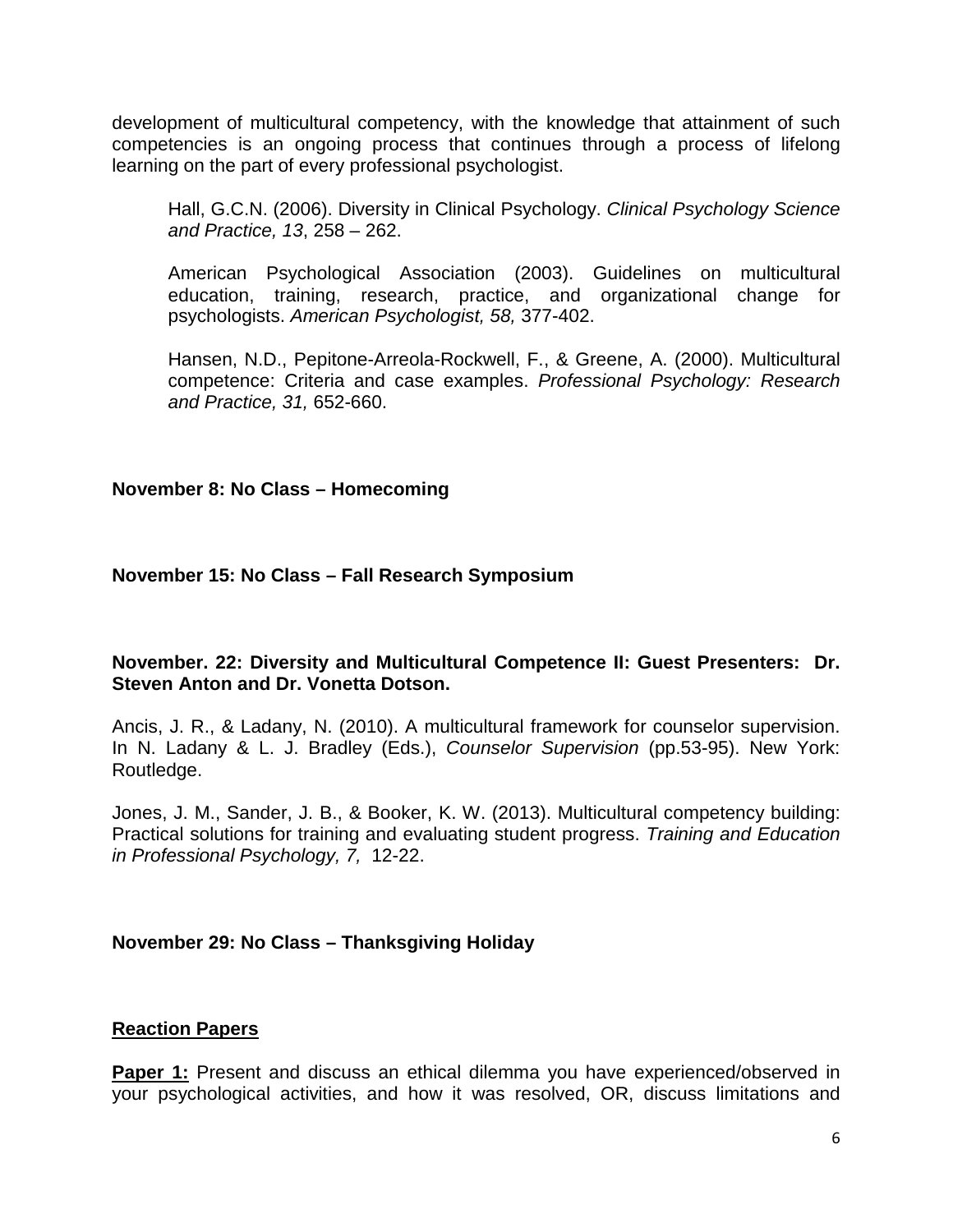development of multicultural competency, with the knowledge that attainment of such competencies is an ongoing process that continues through a process of lifelong learning on the part of every professional psychologist.

Hall, G.C.N. (2006). Diversity in Clinical Psychology. *Clinical Psychology Science and Practice, 13*, 258 – 262.

American Psychological Association (2003). Guidelines on multicultural education, training, research, practice, and organizational change for psychologists. *American Psychologist, 58,* 377-402.

Hansen, N.D., Pepitone-Arreola-Rockwell, F., & Greene, A. (2000). Multicultural competence: Criteria and case examples. *Professional Psychology: Research and Practice, 31,* 652-660.

# **November 8: No Class – Homecoming**

# **November 15: No Class – Fall Research Symposium**

# **November. 22: Diversity and Multicultural Competence II: Guest Presenters: Dr. Steven Anton and Dr. Vonetta Dotson.**

Ancis, J. R., & Ladany, N. (2010). A multicultural framework for counselor supervision. In N. Ladany & L. J. Bradley (Eds.), *Counselor Supervision* (pp.53-95). New York: Routledge.

Jones, J. M., Sander, J. B., & Booker, K. W. (2013). Multicultural competency building: Practical solutions for training and evaluating student progress. *Training and Education in Professional Psychology, 7,* 12-22.

# **November 29: No Class – Thanksgiving Holiday**

# **Reaction Papers**

**Paper 1:** Present and discuss an ethical dilemma you have experienced/observed in your psychological activities, and how it was resolved, OR, discuss limitations and